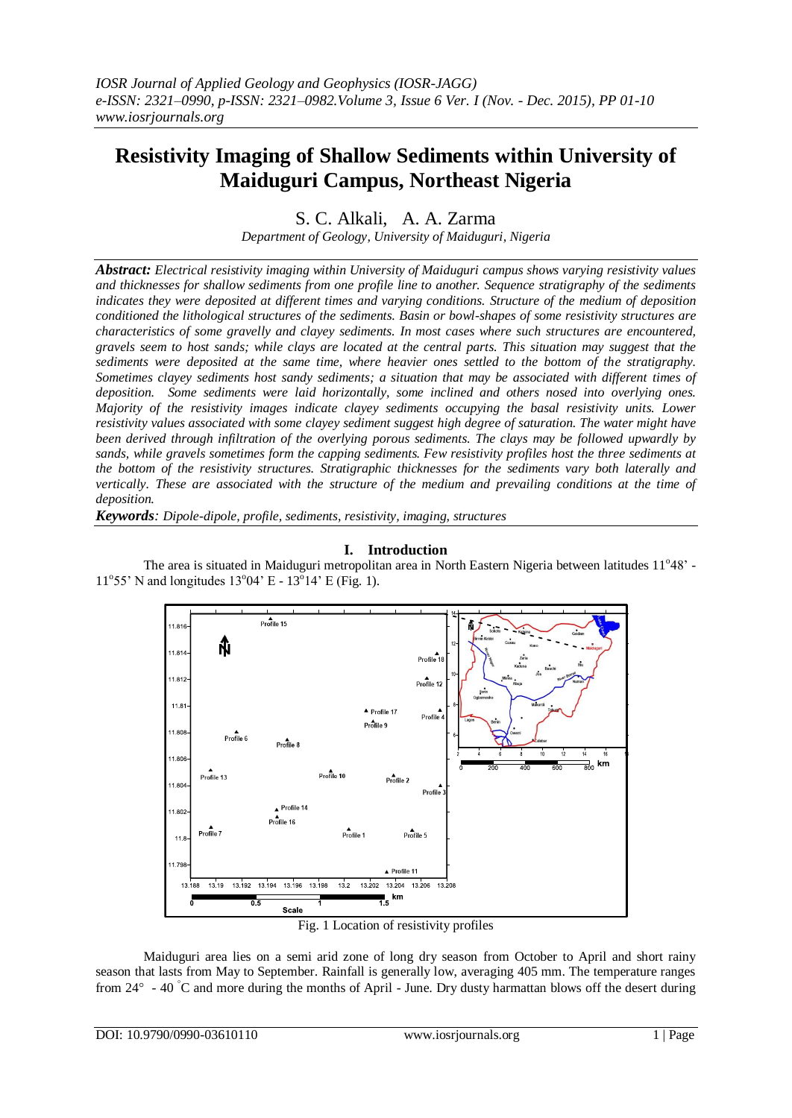# **Resistivity Imaging of Shallow Sediments within University of Maiduguri Campus, Northeast Nigeria**

S. C. Alkali, A. A. Zarma

*Department of Geology, University of Maiduguri, Nigeria*

*Abstract: Electrical resistivity imaging within University of Maiduguri campus shows varying resistivity values and thicknesses for shallow sediments from one profile line to another. Sequence stratigraphy of the sediments indicates they were deposited at different times and varying conditions. Structure of the medium of deposition conditioned the lithological structures of the sediments. Basin or bowl-shapes of some resistivity structures are characteristics of some gravelly and clayey sediments. In most cases where such structures are encountered, gravels seem to host sands; while clays are located at the central parts. This situation may suggest that the sediments were deposited at the same time, where heavier ones settled to the bottom of the stratigraphy. Sometimes clayey sediments host sandy sediments; a situation that may be associated with different times of deposition. Some sediments were laid horizontally, some inclined and others nosed into overlying ones. Majority of the resistivity images indicate clayey sediments occupying the basal resistivity units. Lower resistivity values associated with some clayey sediment suggest high degree of saturation. The water might have been derived through infiltration of the overlying porous sediments. The clays may be followed upwardly by sands, while gravels sometimes form the capping sediments. Few resistivity profiles host the three sediments at the bottom of the resistivity structures. Stratigraphic thicknesses for the sediments vary both laterally and vertically. These are associated with the structure of the medium and prevailing conditions at the time of deposition.*

*Keywords: Dipole-dipole, profile, sediments, resistivity, imaging, structures*

### **I. Introduction**



The area is situated in Maiduguri metropolitan area in North Eastern Nigeria between latitudes 11°48' - $11^{\circ}55'$  N and longitudes  $13^{\circ}04'$  E -  $13^{\circ}14'$  E (Fig. 1).

Fig. 1 Location of resistivity profiles

Maiduguri area lies on a semi arid zone of long dry season from October to April and short rainy season that lasts from May to September. Rainfall is generally low, averaging 405 mm. The temperature ranges from  $24^\circ$  - 40 °C and more during the months of April - June. Dry dusty harmattan blows off the desert during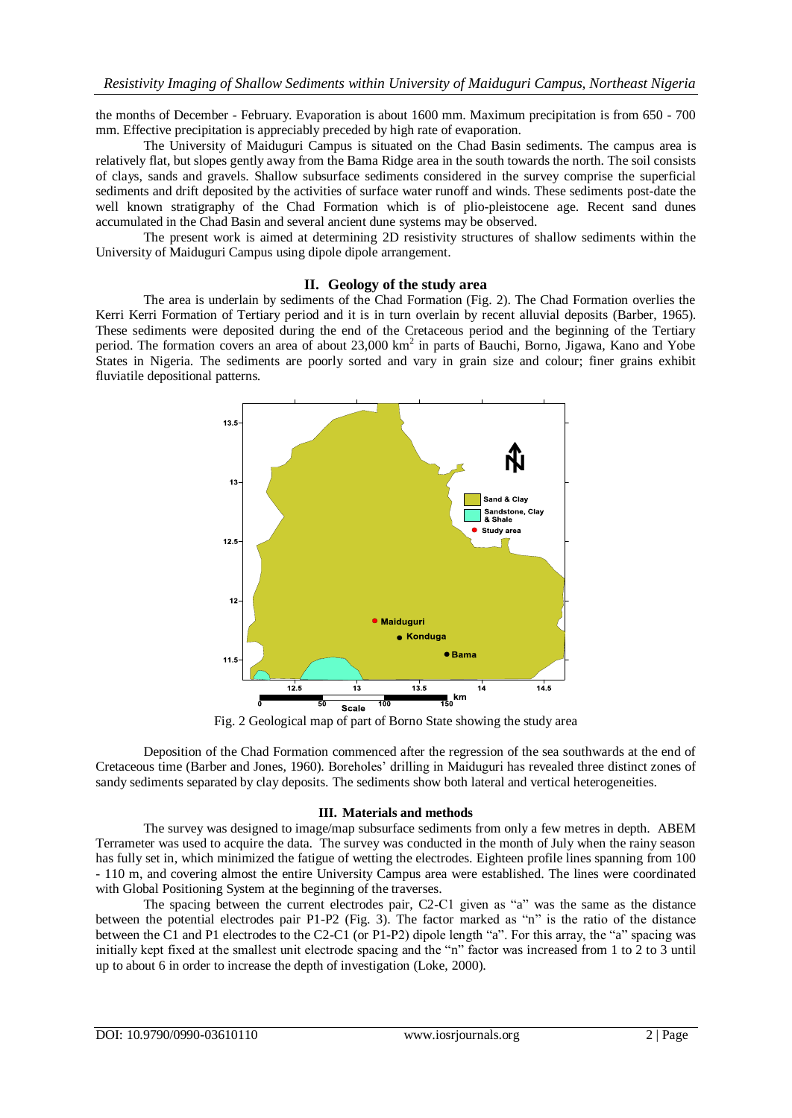the months of December - February. Evaporation is about 1600 mm. Maximum precipitation is from 650 - 700 mm. Effective precipitation is appreciably preceded by high rate of evaporation.

The University of Maiduguri Campus is situated on the Chad Basin sediments. The campus area is relatively flat, but slopes gently away from the Bama Ridge area in the south towards the north. The soil consists of clays, sands and gravels. Shallow subsurface sediments considered in the survey comprise the superficial sediments and drift deposited by the activities of surface water runoff and winds. These sediments post-date the well known stratigraphy of the Chad Formation which is of plio-pleistocene age. Recent sand dunes accumulated in the Chad Basin and several ancient dune systems may be observed.

The present work is aimed at determining 2D resistivity structures of shallow sediments within the University of Maiduguri Campus using dipole dipole arrangement.

#### **II. Geology of the study area**

The area is underlain by sediments of the Chad Formation (Fig. 2). The Chad Formation overlies the Kerri Kerri Formation of Tertiary period and it is in turn overlain by recent alluvial deposits (Barber, 1965). These sediments were deposited during the end of the Cretaceous period and the beginning of the Tertiary period. The formation covers an area of about 23,000 km<sup>2</sup> in parts of Bauchi, Borno, Jigawa, Kano and Yobe States in Nigeria. The sediments are poorly sorted and vary in grain size and colour; finer grains exhibit fluviatile depositional patterns.



Fig. 2 Geological map of part of Borno State showing the study area

Deposition of the Chad Formation commenced after the regression of the sea southwards at the end of Cretaceous time (Barber and Jones, 1960). Boreholes' drilling in Maiduguri has revealed three distinct zones of sandy sediments separated by clay deposits. The sediments show both lateral and vertical heterogeneities.

#### **III. Materials and methods**

The survey was designed to image/map subsurface sediments from only a few metres in depth. ABEM Terrameter was used to acquire the data. The survey was conducted in the month of July when the rainy season has fully set in, which minimized the fatigue of wetting the electrodes. Eighteen profile lines spanning from 100 - 110 m, and covering almost the entire University Campus area were established. The lines were coordinated with Global Positioning System at the beginning of the traverses.

The spacing between the current electrodes pair, C2-C1 given as "a" was the same as the distance between the potential electrodes pair P1-P2 (Fig. 3). The factor marked as "n" is the ratio of the distance between the C1 and P1 electrodes to the C2-C1 (or P1-P2) dipole length "a". For this array, the "a" spacing was initially kept fixed at the smallest unit electrode spacing and the "n" factor was increased from 1 to 2 to 3 until up to about 6 in order to increase the depth of investigation (Loke, 2000).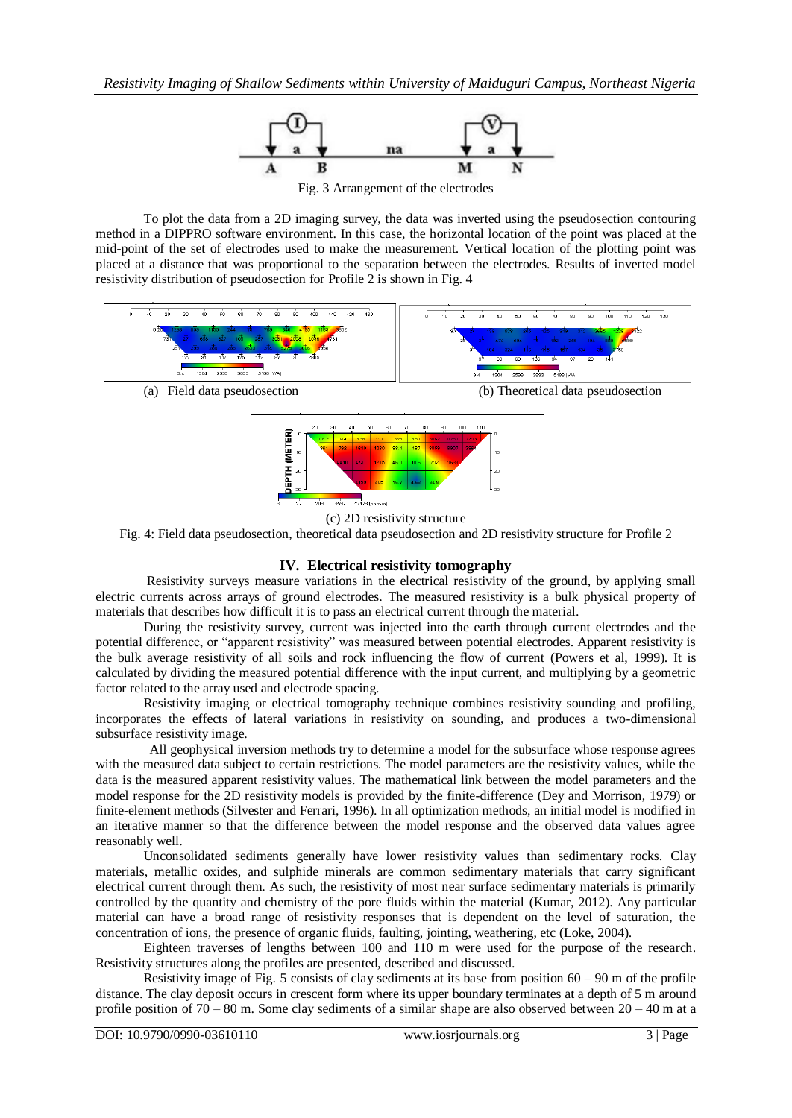

To plot the data from a 2D imaging survey, the data was inverted using the pseudosection contouring method in a DIPPRO software environment. In this case, the horizontal location of the point was placed at the mid-point of the set of electrodes used to make the measurement. Vertical location of the plotting point was placed at a distance that was proportional to the separation between the electrodes. Results of inverted model resistivity distribution of pseudosection for Profile 2 is shown in Fig. 4





(c) 2D resistivity structure

Fig. 4: Field data pseudosection, theoretical data pseudosection and 2D resistivity structure for Profile 2

## **IV. Electrical resistivity tomography**

Resistivity surveys measure variations in the electrical resistivity of the ground, by applying small electric currents across arrays of ground electrodes. The measured resistivity is a bulk physical property of materials that describes how difficult it is to pass an electrical current through the material.

During the resistivity survey, current was injected into the earth through current electrodes and the potential difference, or "apparent resistivity" was measured between potential electrodes. Apparent resistivity is the bulk average resistivity of all soils and rock influencing the flow of current (Powers et al, 1999). It is calculated by dividing the measured potential difference with the input current, and multiplying by a geometric factor related to the array used and electrode spacing.

Resistivity imaging or electrical tomography technique combines resistivity sounding and profiling, incorporates the effects of lateral variations in resistivity on sounding, and produces a two-dimensional subsurface resistivity image.

All geophysical inversion methods try to determine a model for the subsurface whose response agrees with the measured data subject to certain restrictions. The model parameters are the resistivity values, while the data is the measured apparent resistivity values. The mathematical link between the model parameters and the model response for the 2D resistivity models is provided by the finite-difference (Dey and Morrison, 1979) or finite-element methods (Silvester and Ferrari, 1996). In all optimization methods, an initial model is modified in an iterative manner so that the difference between the model response and the observed data values agree reasonably well.

Unconsolidated sediments generally have lower resistivity values than sedimentary rocks. Clay materials, metallic oxides, and sulphide minerals are common sedimentary materials that carry significant electrical current through them. As such, the resistivity of most near surface sedimentary materials is primarily controlled by the quantity and chemistry of the pore fluids within the material (Kumar, 2012). Any particular material can have a broad range of resistivity responses that is dependent on the level of saturation, the concentration of ions, the presence of organic fluids, faulting, jointing, weathering, etc (Loke, 2004).

Eighteen traverses of lengths between 100 and 110 m were used for the purpose of the research. Resistivity structures along the profiles are presented, described and discussed.

Resistivity image of Fig. 5 consists of clay sediments at its base from position  $60 - 90$  m of the profile distance. The clay deposit occurs in crescent form where its upper boundary terminates at a depth of 5 m around profile position of 70 – 80 m. Some clay sediments of a similar shape are also observed between 20 – 40 m at a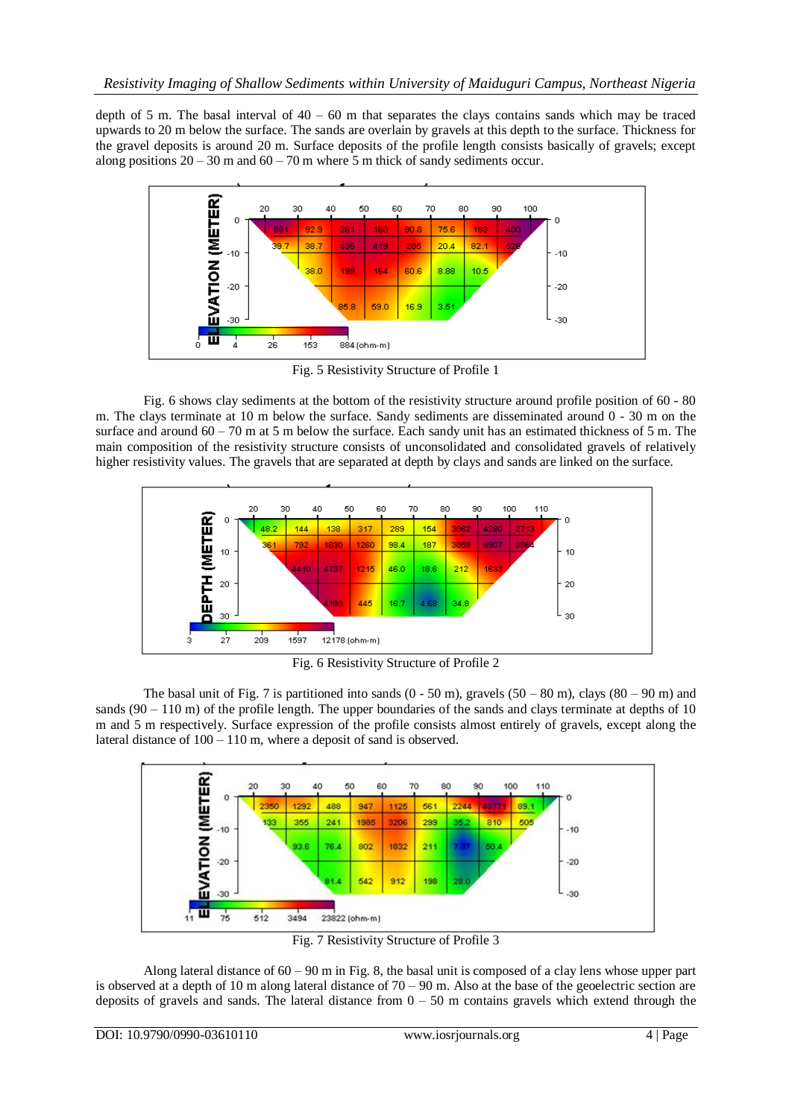depth of 5 m. The basal interval of  $40 - 60$  m that separates the clays contains sands which may be traced upwards to 20 m below the surface. The sands are overlain by gravels at this depth to the surface. Thickness for the gravel deposits is around 20 m. Surface deposits of the profile length consists basically of gravels; except along positions  $20 - 30$  m and  $60 - 70$  m where 5 m thick of sandy sediments occur.



Fig. 5 Resistivity Structure of Profile 1

Fig. 6 shows clay sediments at the bottom of the resistivity structure around profile position of 60 - 80 m. The clays terminate at 10 m below the surface. Sandy sediments are disseminated around 0 - 30 m on the surface and around 60 – 70 m at 5 m below the surface. Each sandy unit has an estimated thickness of 5 m. The main composition of the resistivity structure consists of unconsolidated and consolidated gravels of relatively higher resistivity values. The gravels that are separated at depth by clays and sands are linked on the surface.



Fig. 6 Resistivity Structure of Profile 2

The basal unit of Fig. 7 is partitioned into sands  $(0 - 50 \text{ m})$ , gravels  $(50 - 80 \text{ m})$ , clays  $(80 - 90 \text{ m})$  and sands (90 – 110 m) of the profile length. The upper boundaries of the sands and clays terminate at depths of 10 m and 5 m respectively. Surface expression of the profile consists almost entirely of gravels, except along the lateral distance of  $100 - 110$  m, where a deposit of sand is observed.



Fig. 7 Resistivity Structure of Profile 3

Along lateral distance of  $60 - 90$  m in Fig. 8, the basal unit is composed of a clay lens whose upper part is observed at a depth of 10 m along lateral distance of  $70 - 90$  m. Also at the base of the geoelectric section are deposits of gravels and sands. The lateral distance from  $0 - 50$  m contains gravels which extend through the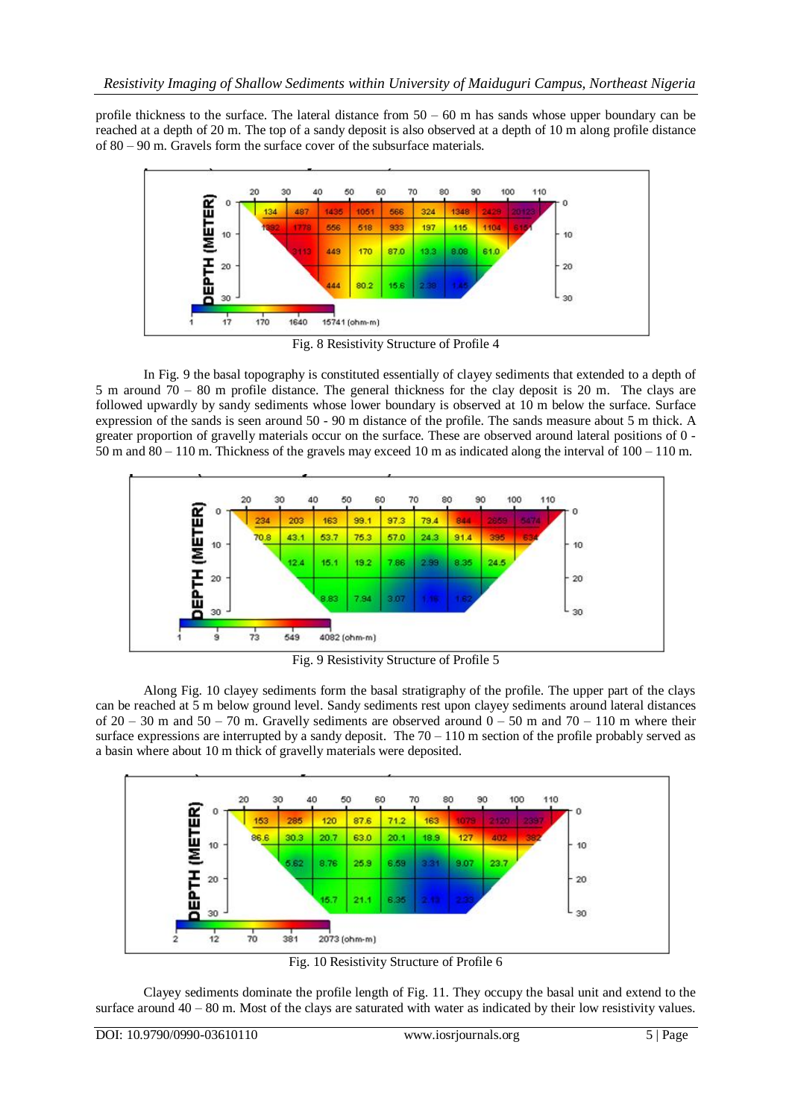profile thickness to the surface. The lateral distance from  $50 - 60$  m has sands whose upper boundary can be reached at a depth of 20 m. The top of a sandy deposit is also observed at a depth of 10 m along profile distance of 80 – 90 m. Gravels form the surface cover of the subsurface materials.



Fig. 8 Resistivity Structure of Profile 4

In Fig. 9 the basal topography is constituted essentially of clayey sediments that extended to a depth of 5 m around 70 – 80 m profile distance. The general thickness for the clay deposit is 20 m. The clays are followed upwardly by sandy sediments whose lower boundary is observed at 10 m below the surface. Surface expression of the sands is seen around 50 - 90 m distance of the profile. The sands measure about 5 m thick. A greater proportion of gravelly materials occur on the surface. These are observed around lateral positions of 0 - 50 m and 80 – 110 m. Thickness of the gravels may exceed 10 m as indicated along the interval of 100 – 110 m.



Fig. 9 Resistivity Structure of Profile 5

Along Fig. 10 clayey sediments form the basal stratigraphy of the profile. The upper part of the clays can be reached at 5 m below ground level. Sandy sediments rest upon clayey sediments around lateral distances of  $20 - 30$  m and  $50 - 70$  m. Gravelly sediments are observed around  $0 - 50$  m and  $70 - 110$  m where their surface expressions are interrupted by a sandy deposit. The  $70 - 110$  m section of the profile probably served as a basin where about 10 m thick of gravelly materials were deposited.



Fig. 10 Resistivity Structure of Profile 6

Clayey sediments dominate the profile length of Fig. 11. They occupy the basal unit and extend to the surface around  $40 - 80$  m. Most of the clays are saturated with water as indicated by their low resistivity values.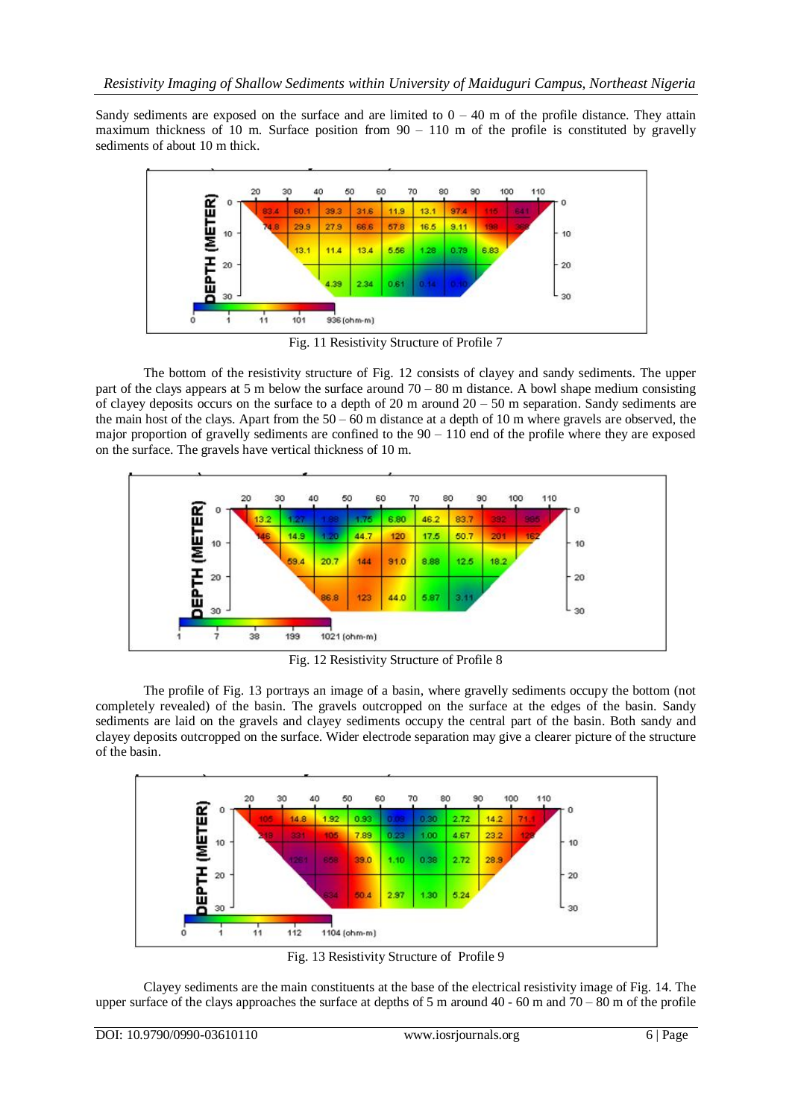Sandy sediments are exposed on the surface and are limited to  $0 - 40$  m of the profile distance. They attain maximum thickness of 10 m. Surface position from  $90 - 110$  m of the profile is constituted by gravelly sediments of about 10 m thick.



Fig. 11 Resistivity Structure of Profile 7

The bottom of the resistivity structure of Fig. 12 consists of clayey and sandy sediments. The upper part of the clays appears at 5 m below the surface around  $70 - 80$  m distance. A bowl shape medium consisting of clayey deposits occurs on the surface to a depth of 20 m around  $20 - 50$  m separation. Sandy sediments are the main host of the clays. Apart from the  $50 - 60$  m distance at a depth of 10 m where gravels are observed, the major proportion of gravelly sediments are confined to the  $90 - 110$  end of the profile where they are exposed on the surface. The gravels have vertical thickness of 10 m.



Fig. 12 Resistivity Structure of Profile 8

The profile of Fig. 13 portrays an image of a basin, where gravelly sediments occupy the bottom (not completely revealed) of the basin. The gravels outcropped on the surface at the edges of the basin. Sandy sediments are laid on the gravels and clayey sediments occupy the central part of the basin. Both sandy and clayey deposits outcropped on the surface. Wider electrode separation may give a clearer picture of the structure of the basin.



Fig. 13 Resistivity Structure of Profile 9

Clayey sediments are the main constituents at the base of the electrical resistivity image of Fig. 14. The upper surface of the clays approaches the surface at depths of 5 m around 40 - 60 m and 70 – 80 m of the profile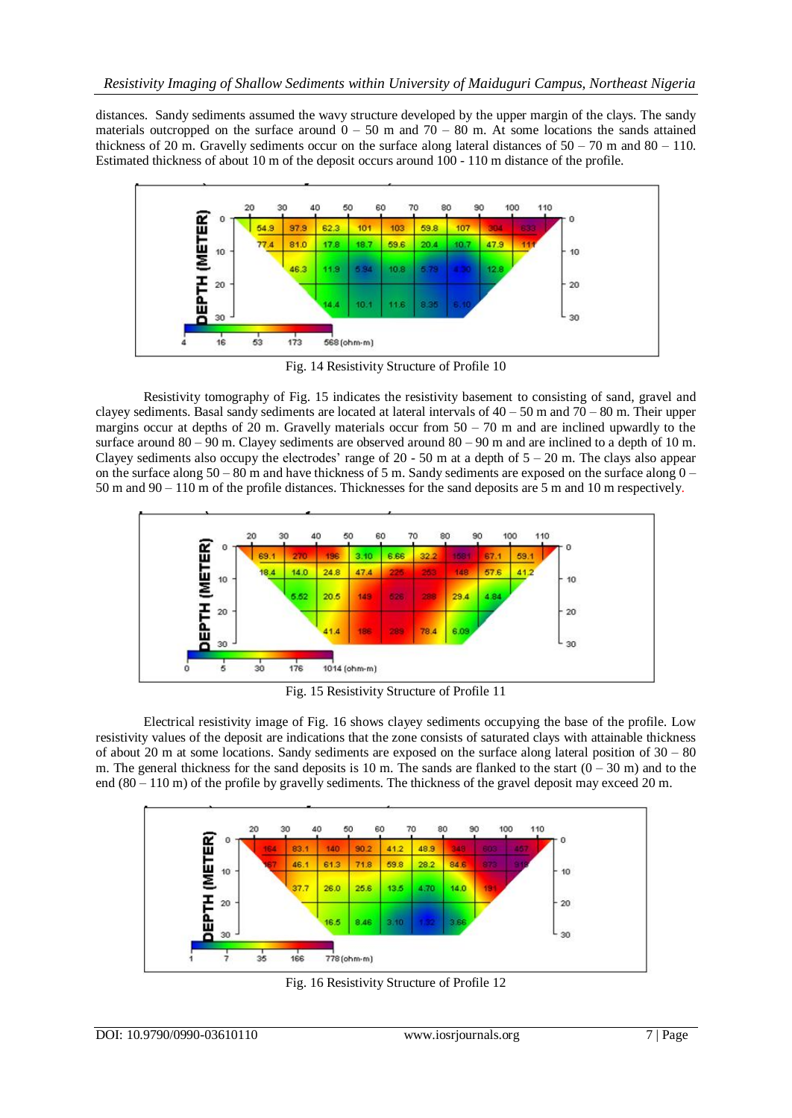distances. Sandy sediments assumed the wavy structure developed by the upper margin of the clays. The sandy materials outcropped on the surface around  $0 - 50$  m and  $70 - 80$  m. At some locations the sands attained thickness of 20 m. Gravelly sediments occur on the surface along lateral distances of  $50 - 70$  m and  $80 - 110$ . Estimated thickness of about 10 m of the deposit occurs around 100 - 110 m distance of the profile.



Fig. 14 Resistivity Structure of Profile 10

Resistivity tomography of Fig. 15 indicates the resistivity basement to consisting of sand, gravel and clayey sediments. Basal sandy sediments are located at lateral intervals of  $40 - 50$  m and  $70 - 80$  m. Their upper margins occur at depths of 20 m. Gravelly materials occur from  $50 - 70$  m and are inclined upwardly to the surface around  $80 - 90$  m. Clayey sediments are observed around  $80 - 90$  m and are inclined to a depth of 10 m. Clayey sediments also occupy the electrodes' range of  $20 - 50$  m at a depth of  $5 - 20$  m. The clays also appear on the surface along  $50 - 80$  m and have thickness of 5 m. Sandy sediments are exposed on the surface along  $0 -$ 50 m and 90 – 110 m of the profile distances. Thicknesses for the sand deposits are 5 m and 10 m respectively.



Fig. 15 Resistivity Structure of Profile 11

Electrical resistivity image of Fig. 16 shows clayey sediments occupying the base of the profile. Low resistivity values of the deposit are indications that the zone consists of saturated clays with attainable thickness of about 20 m at some locations. Sandy sediments are exposed on the surface along lateral position of  $30 - 80$ m. The general thickness for the sand deposits is 10 m. The sands are flanked to the start  $(0 - 30 \text{ m})$  and to the end (80 – 110 m) of the profile by gravelly sediments. The thickness of the gravel deposit may exceed 20 m.



Fig. 16 Resistivity Structure of Profile 12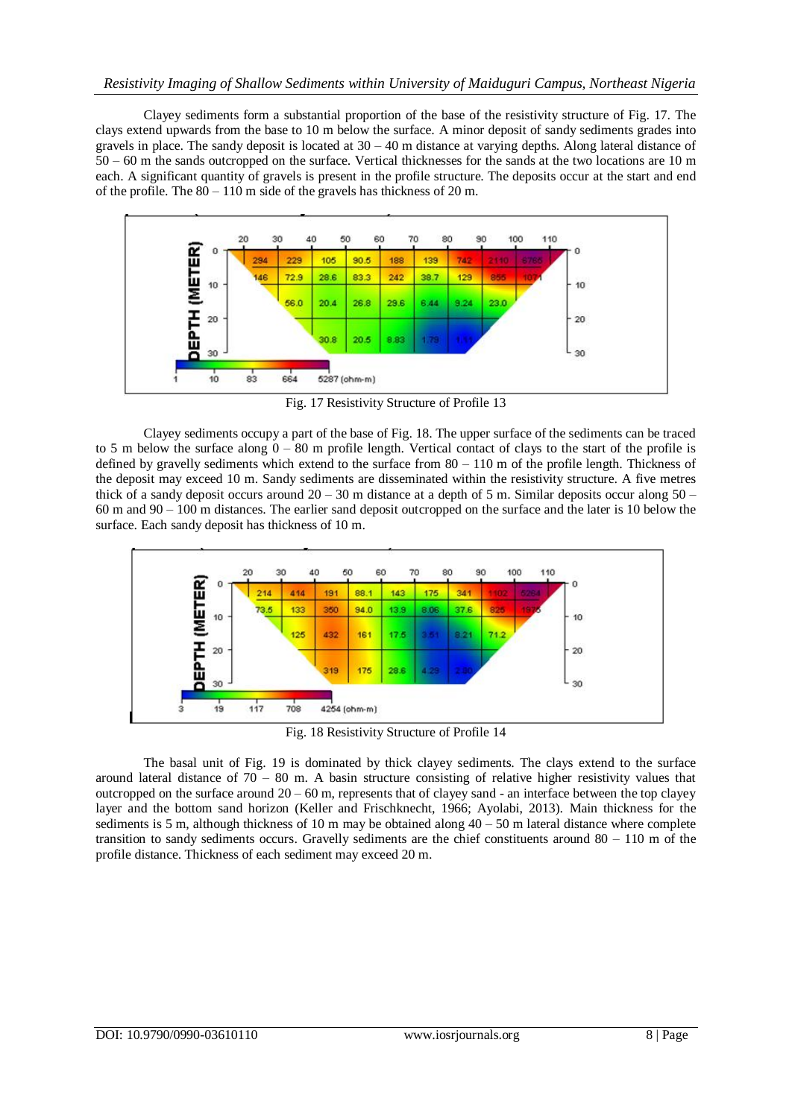Clayey sediments form a substantial proportion of the base of the resistivity structure of Fig. 17. The clays extend upwards from the base to 10 m below the surface. A minor deposit of sandy sediments grades into gravels in place. The sandy deposit is located at  $30 - 40$  m distance at varying depths. Along lateral distance of 50 – 60 m the sands outcropped on the surface. Vertical thicknesses for the sands at the two locations are 10 m each. A significant quantity of gravels is present in the profile structure. The deposits occur at the start and end of the profile. The 80 – 110 m side of the gravels has thickness of 20 m.



Fig. 17 Resistivity Structure of Profile 13

Clayey sediments occupy a part of the base of Fig. 18. The upper surface of the sediments can be traced to 5 m below the surface along  $0 - 80$  m profile length. Vertical contact of clays to the start of the profile is defined by gravelly sediments which extend to the surface from  $80 - 110$  m of the profile length. Thickness of the deposit may exceed 10 m. Sandy sediments are disseminated within the resistivity structure. A five metres thick of a sandy deposit occurs around 20 – 30 m distance at a depth of 5 m. Similar deposits occur along 50 – 60 m and 90 – 100 m distances. The earlier sand deposit outcropped on the surface and the later is 10 below the surface. Each sandy deposit has thickness of 10 m.



Fig. 18 Resistivity Structure of Profile 14

The basal unit of Fig. 19 is dominated by thick clayey sediments. The clays extend to the surface around lateral distance of  $70 - 80$  m. A basin structure consisting of relative higher resistivity values that outcropped on the surface around  $20 - 60$  m, represents that of clayey sand - an interface between the top clayey layer and the bottom sand horizon (Keller and Frischknecht, 1966; Ayolabi, 2013). Main thickness for the sediments is 5 m, although thickness of 10 m may be obtained along  $40 - 50$  m lateral distance where complete transition to sandy sediments occurs. Gravelly sediments are the chief constituents around 80 – 110 m of the profile distance. Thickness of each sediment may exceed 20 m.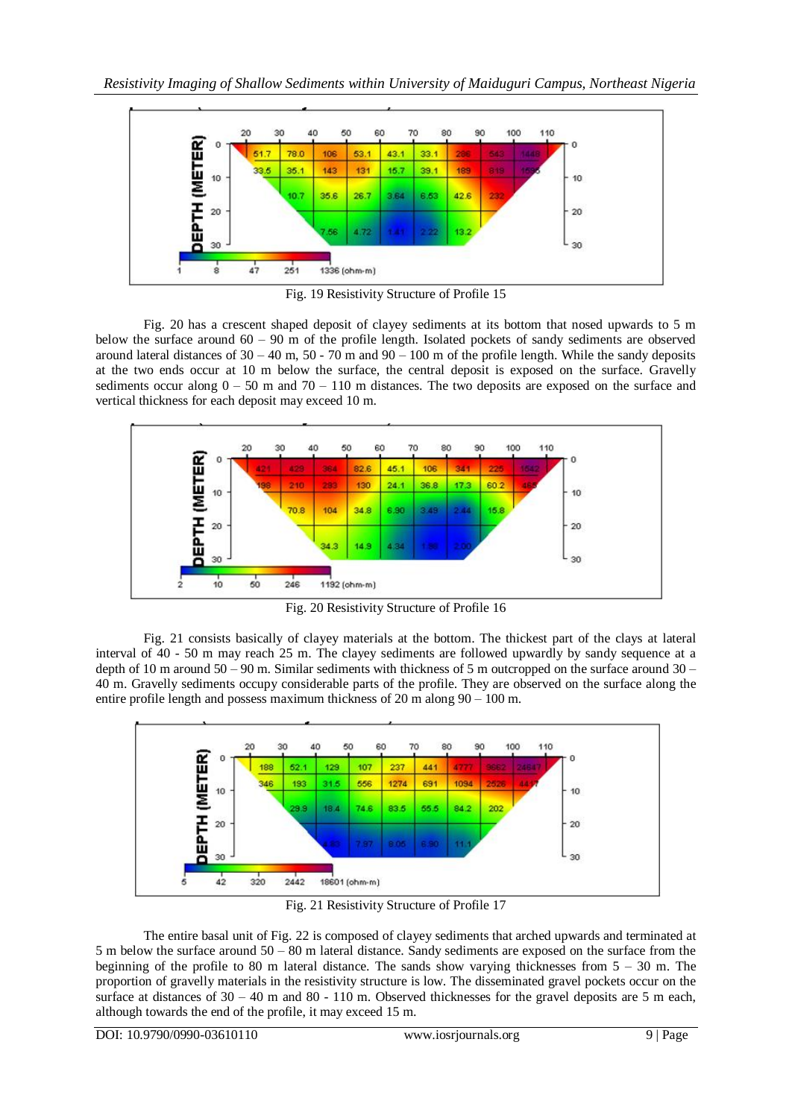

Fig. 19 Resistivity Structure of Profile 15

Fig. 20 has a crescent shaped deposit of clayey sediments at its bottom that nosed upwards to 5 m below the surface around 60 – 90 m of the profile length. Isolated pockets of sandy sediments are observed around lateral distances of  $30 - 40$  m,  $50 - 70$  m and  $90 - 100$  m of the profile length. While the sandy deposits at the two ends occur at 10 m below the surface, the central deposit is exposed on the surface. Gravelly sediments occur along  $0 - 50$  m and  $70 - 110$  m distances. The two deposits are exposed on the surface and vertical thickness for each deposit may exceed 10 m.



Fig. 20 Resistivity Structure of Profile 16

Fig. 21 consists basically of clayey materials at the bottom. The thickest part of the clays at lateral interval of 40 - 50 m may reach 25 m. The clayey sediments are followed upwardly by sandy sequence at a depth of 10 m around  $50 - 90$  m. Similar sediments with thickness of 5 m outcropped on the surface around  $30 -$ 40 m. Gravelly sediments occupy considerable parts of the profile. They are observed on the surface along the entire profile length and possess maximum thickness of 20 m along 90 – 100 m.



Fig. 21 Resistivity Structure of Profile 17

The entire basal unit of Fig. 22 is composed of clayey sediments that arched upwards and terminated at 5 m below the surface around 50 – 80 m lateral distance. Sandy sediments are exposed on the surface from the beginning of the profile to 80 m lateral distance. The sands show varying thicknesses from 5 – 30 m. The proportion of gravelly materials in the resistivity structure is low. The disseminated gravel pockets occur on the surface at distances of  $30 - 40$  m and  $80 - 110$  m. Observed thicknesses for the gravel deposits are 5 m each, although towards the end of the profile, it may exceed 15 m.